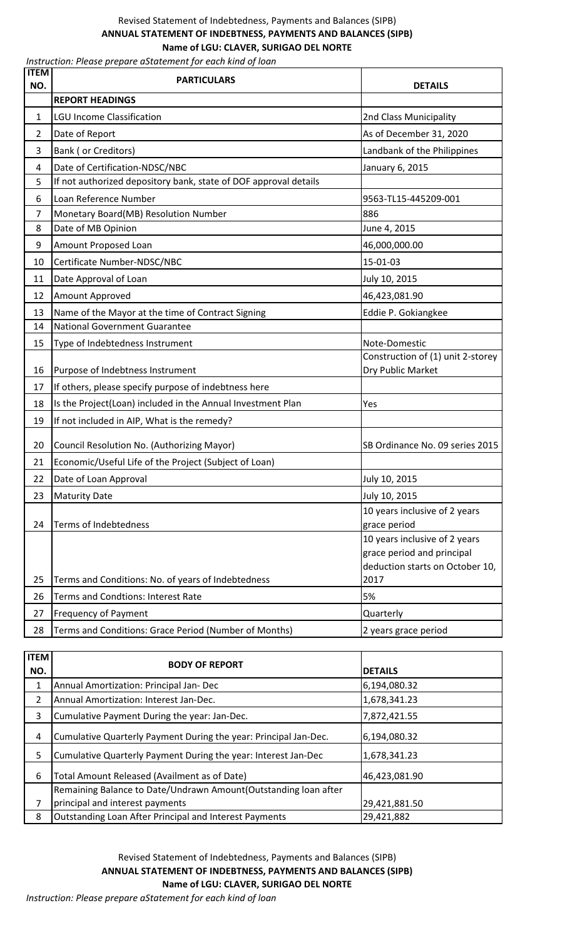## Revised Statement of Indebtedness, Payments and Balances (SIPB) **ANNUAL STATEMENT OF INDEBTNESS, PAYMENTS AND BALANCES (SIPB) Name of LGU: CLAVER, SURIGAO DEL NORTE**

*Instruction: Please prepare aStatement for each kind of loan* 

| <b>REPORT HEADINGS</b><br><b>LGU Income Classification</b><br>$\mathbf{1}$<br>2nd Class Municipality<br>As of December 31, 2020<br>2<br>Date of Report<br>Bank (or Creditors)<br>3<br>Landbank of the Philippines<br>Date of Certification-NDSC/NBC<br>January 6, 2015<br>4<br>If not authorized depository bank, state of DOF approval details<br>5<br>Loan Reference Number<br>6<br>9563-TL15-445209-001<br>7<br>Monetary Board(MB) Resolution Number<br>886<br>Date of MB Opinion<br>8<br>June 4, 2015<br>46,000,000.00<br>9<br>Amount Proposed Loan<br>Certificate Number-NDSC/NBC<br>15-01-03<br>10<br>Date Approval of Loan<br>July 10, 2015<br>11<br>46,423,081.90<br>Amount Approved<br>12<br>Name of the Mayor at the time of Contract Signing<br>Eddie P. Gokiangkee<br>13<br><b>National Government Guarantee</b><br>14<br>15<br>Type of Indebtedness Instrument<br>Note-Domestic<br>Construction of (1) unit 2-storey<br>Purpose of Indebtness Instrument<br>Dry Public Market<br>16<br>If others, please specify purpose of indebtness here<br>17<br>Is the Project(Loan) included in the Annual Investment Plan<br>18<br>Yes<br>If not included in AIP, What is the remedy?<br>19 | <b>ITEM</b><br>NO. | <b>PARTICULARS</b> | <b>DETAILS</b> |
|-------------------------------------------------------------------------------------------------------------------------------------------------------------------------------------------------------------------------------------------------------------------------------------------------------------------------------------------------------------------------------------------------------------------------------------------------------------------------------------------------------------------------------------------------------------------------------------------------------------------------------------------------------------------------------------------------------------------------------------------------------------------------------------------------------------------------------------------------------------------------------------------------------------------------------------------------------------------------------------------------------------------------------------------------------------------------------------------------------------------------------------------------------------------------------------------------|--------------------|--------------------|----------------|
|                                                                                                                                                                                                                                                                                                                                                                                                                                                                                                                                                                                                                                                                                                                                                                                                                                                                                                                                                                                                                                                                                                                                                                                                 |                    |                    |                |
|                                                                                                                                                                                                                                                                                                                                                                                                                                                                                                                                                                                                                                                                                                                                                                                                                                                                                                                                                                                                                                                                                                                                                                                                 |                    |                    |                |
|                                                                                                                                                                                                                                                                                                                                                                                                                                                                                                                                                                                                                                                                                                                                                                                                                                                                                                                                                                                                                                                                                                                                                                                                 |                    |                    |                |
|                                                                                                                                                                                                                                                                                                                                                                                                                                                                                                                                                                                                                                                                                                                                                                                                                                                                                                                                                                                                                                                                                                                                                                                                 |                    |                    |                |
|                                                                                                                                                                                                                                                                                                                                                                                                                                                                                                                                                                                                                                                                                                                                                                                                                                                                                                                                                                                                                                                                                                                                                                                                 |                    |                    |                |
|                                                                                                                                                                                                                                                                                                                                                                                                                                                                                                                                                                                                                                                                                                                                                                                                                                                                                                                                                                                                                                                                                                                                                                                                 |                    |                    |                |
|                                                                                                                                                                                                                                                                                                                                                                                                                                                                                                                                                                                                                                                                                                                                                                                                                                                                                                                                                                                                                                                                                                                                                                                                 |                    |                    |                |
|                                                                                                                                                                                                                                                                                                                                                                                                                                                                                                                                                                                                                                                                                                                                                                                                                                                                                                                                                                                                                                                                                                                                                                                                 |                    |                    |                |
|                                                                                                                                                                                                                                                                                                                                                                                                                                                                                                                                                                                                                                                                                                                                                                                                                                                                                                                                                                                                                                                                                                                                                                                                 |                    |                    |                |
|                                                                                                                                                                                                                                                                                                                                                                                                                                                                                                                                                                                                                                                                                                                                                                                                                                                                                                                                                                                                                                                                                                                                                                                                 |                    |                    |                |
|                                                                                                                                                                                                                                                                                                                                                                                                                                                                                                                                                                                                                                                                                                                                                                                                                                                                                                                                                                                                                                                                                                                                                                                                 |                    |                    |                |
|                                                                                                                                                                                                                                                                                                                                                                                                                                                                                                                                                                                                                                                                                                                                                                                                                                                                                                                                                                                                                                                                                                                                                                                                 |                    |                    |                |
|                                                                                                                                                                                                                                                                                                                                                                                                                                                                                                                                                                                                                                                                                                                                                                                                                                                                                                                                                                                                                                                                                                                                                                                                 |                    |                    |                |
|                                                                                                                                                                                                                                                                                                                                                                                                                                                                                                                                                                                                                                                                                                                                                                                                                                                                                                                                                                                                                                                                                                                                                                                                 |                    |                    |                |
|                                                                                                                                                                                                                                                                                                                                                                                                                                                                                                                                                                                                                                                                                                                                                                                                                                                                                                                                                                                                                                                                                                                                                                                                 |                    |                    |                |
|                                                                                                                                                                                                                                                                                                                                                                                                                                                                                                                                                                                                                                                                                                                                                                                                                                                                                                                                                                                                                                                                                                                                                                                                 |                    |                    |                |
|                                                                                                                                                                                                                                                                                                                                                                                                                                                                                                                                                                                                                                                                                                                                                                                                                                                                                                                                                                                                                                                                                                                                                                                                 |                    |                    |                |
|                                                                                                                                                                                                                                                                                                                                                                                                                                                                                                                                                                                                                                                                                                                                                                                                                                                                                                                                                                                                                                                                                                                                                                                                 |                    |                    |                |
|                                                                                                                                                                                                                                                                                                                                                                                                                                                                                                                                                                                                                                                                                                                                                                                                                                                                                                                                                                                                                                                                                                                                                                                                 |                    |                    |                |
|                                                                                                                                                                                                                                                                                                                                                                                                                                                                                                                                                                                                                                                                                                                                                                                                                                                                                                                                                                                                                                                                                                                                                                                                 |                    |                    |                |
|                                                                                                                                                                                                                                                                                                                                                                                                                                                                                                                                                                                                                                                                                                                                                                                                                                                                                                                                                                                                                                                                                                                                                                                                 |                    |                    |                |
| SB Ordinance No. 09 series 2015<br>Council Resolution No. (Authorizing Mayor)<br>20                                                                                                                                                                                                                                                                                                                                                                                                                                                                                                                                                                                                                                                                                                                                                                                                                                                                                                                                                                                                                                                                                                             |                    |                    |                |
| Economic/Useful Life of the Project (Subject of Loan)<br>21                                                                                                                                                                                                                                                                                                                                                                                                                                                                                                                                                                                                                                                                                                                                                                                                                                                                                                                                                                                                                                                                                                                                     |                    |                    |                |
| 22<br>July 10, 2015<br>Date of Loan Approval                                                                                                                                                                                                                                                                                                                                                                                                                                                                                                                                                                                                                                                                                                                                                                                                                                                                                                                                                                                                                                                                                                                                                    |                    |                    |                |
| 23<br><b>Maturity Date</b><br>July 10, 2015                                                                                                                                                                                                                                                                                                                                                                                                                                                                                                                                                                                                                                                                                                                                                                                                                                                                                                                                                                                                                                                                                                                                                     |                    |                    |                |
| 10 years inclusive of 2 years                                                                                                                                                                                                                                                                                                                                                                                                                                                                                                                                                                                                                                                                                                                                                                                                                                                                                                                                                                                                                                                                                                                                                                   |                    |                    |                |
| Terms of Indebtedness<br>24<br>grace period                                                                                                                                                                                                                                                                                                                                                                                                                                                                                                                                                                                                                                                                                                                                                                                                                                                                                                                                                                                                                                                                                                                                                     |                    |                    |                |
| 10 years inclusive of 2 years                                                                                                                                                                                                                                                                                                                                                                                                                                                                                                                                                                                                                                                                                                                                                                                                                                                                                                                                                                                                                                                                                                                                                                   |                    |                    |                |
| grace period and principal<br>deduction starts on October 10,                                                                                                                                                                                                                                                                                                                                                                                                                                                                                                                                                                                                                                                                                                                                                                                                                                                                                                                                                                                                                                                                                                                                   |                    |                    |                |
| 2017<br>Terms and Conditions: No. of years of Indebtedness<br>25                                                                                                                                                                                                                                                                                                                                                                                                                                                                                                                                                                                                                                                                                                                                                                                                                                                                                                                                                                                                                                                                                                                                |                    |                    |                |
| Terms and Condtions: Interest Rate<br>5%<br>26                                                                                                                                                                                                                                                                                                                                                                                                                                                                                                                                                                                                                                                                                                                                                                                                                                                                                                                                                                                                                                                                                                                                                  |                    |                    |                |
| <b>Frequency of Payment</b><br>27<br>Quarterly                                                                                                                                                                                                                                                                                                                                                                                                                                                                                                                                                                                                                                                                                                                                                                                                                                                                                                                                                                                                                                                                                                                                                  |                    |                    |                |
| Terms and Conditions: Grace Period (Number of Months)<br>28<br>2 years grace period                                                                                                                                                                                                                                                                                                                                                                                                                                                                                                                                                                                                                                                                                                                                                                                                                                                                                                                                                                                                                                                                                                             |                    |                    |                |

| <b>ITEM</b> | <b>BODY OF REPORT</b>                                            |                |
|-------------|------------------------------------------------------------------|----------------|
| NO.         |                                                                  | <b>DETAILS</b> |
| 1           | Annual Amortization: Principal Jan- Dec                          | 6,194,080.32   |
| 2           | Annual Amortization: Interest Jan-Dec.                           | 1,678,341.23   |
| 3           | Cumulative Payment During the year: Jan-Dec.                     | 7,872,421.55   |
| 4           | Cumulative Quarterly Payment During the year: Principal Jan-Dec. | 6,194,080.32   |
| 5           | Cumulative Quarterly Payment During the year: Interest Jan-Dec   | 1,678,341.23   |
| 6           | Total Amount Released (Availment as of Date)                     | 46,423,081.90  |
|             | Remaining Balance to Date/Undrawn Amount (Outstanding loan after |                |
| 7           | principal and interest payments                                  | 29,421,881.50  |
| 8           | Outstanding Loan After Principal and Interest Payments           | 29,421,882     |

**Name of LGU: CLAVER, SURIGAO DEL NORTE**  Revised Statement of Indebtedness, Payments and Balances (SIPB) **ANNUAL STATEMENT OF INDEBTNESS, PAYMENTS AND BALANCES (SIPB)** 

*Instruction: Please prepare aStatement for each kind of loan*